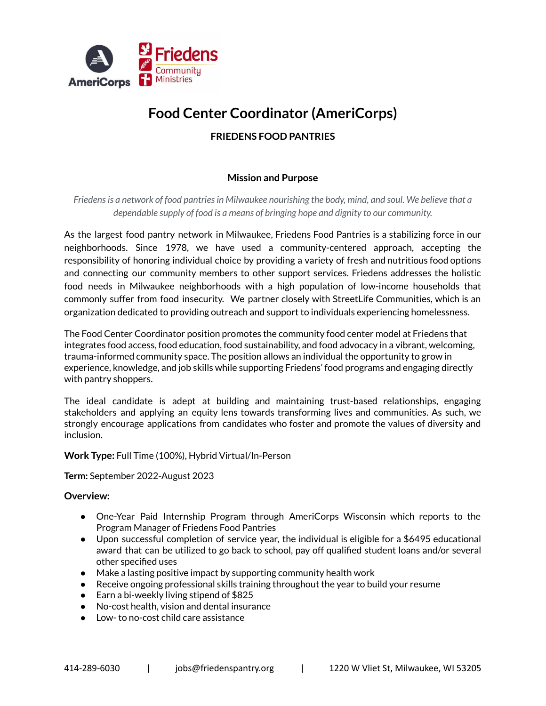

# **Food Center Coordinator (AmeriCorps)**

# **FRIEDENS FOOD PANTRIES**

# **Mission and Purpose**

*Friedensis a network of food pantriesin Milwaukee nourishing the body, mind, and soul. We believe that a dependable supply of food is a means of bringing hope and dignity to our community.*

As the largest food pantry network in Milwaukee, Friedens Food Pantries is a stabilizing force in our neighborhoods. Since 1978, we have used a community-centered approach, accepting the responsibility of honoring individual choice by providing a variety of fresh and nutritious food options and connecting our community members to other support services. Friedens addresses the holistic food needs in Milwaukee neighborhoods with a high population of low-income households that commonly suffer from food insecurity. We partner closely with StreetLife Communities, which is an organization dedicated to providing outreach and support to individuals experiencing homelessness.

The Food Center Coordinator position promotes the community food center model at Friedens that integrates food access, food education, food sustainability, and food advocacy in a vibrant, welcoming, trauma-informed community space. The position allows an individual the opportunity to grow in experience, knowledge, and job skills while supporting Friedens' food programs and engaging directly with pantry shoppers.

The ideal candidate is adept at building and maintaining trust-based relationships, engaging stakeholders and applying an equity lens towards transforming lives and communities. As such, we strongly encourage applications from candidates who foster and promote the values of diversity and inclusion.

**Work Type:** Full Time (100%), Hybrid Virtual/In-Person

**Term:** September 2022-August 2023

#### **Overview:**

- One-Year Paid Internship Program through AmeriCorps Wisconsin which reports to the Program Manager of Friedens Food Pantries
- Upon successful completion of service year, the individual is eligible for a \$6495 educational award that can be utilized to go back to school, pay off qualified student loans and/or several other specified uses
- Make a lasting positive impact by supporting community health work
- Receive ongoing professional skills training throughout the year to build your resume
- Earn a bi-weekly living stipend of \$825
- No-cost health, vision and dental insurance
- Low- to no-cost child care assistance